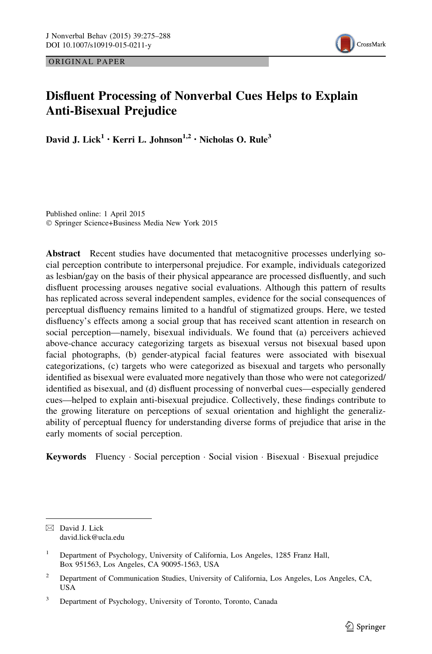ORIGINAL PAPER



# Disfluent Processing of Nonverbal Cues Helps to Explain Anti-Bisexual Prejudice

David J. Lick<sup>1</sup> • Kerri L. Johnson<sup>1,2</sup> • Nicholas O. Rule<sup>3</sup>

Published online: 1 April 2015 - Springer Science+Business Media New York 2015

Abstract Recent studies have documented that metacognitive processes underlying social perception contribute to interpersonal prejudice. For example, individuals categorized as lesbian/gay on the basis of their physical appearance are processed disfluently, and such disfluent processing arouses negative social evaluations. Although this pattern of results has replicated across several independent samples, evidence for the social consequences of perceptual disfluency remains limited to a handful of stigmatized groups. Here, we tested disfluency's effects among a social group that has received scant attention in research on social perception—namely, bisexual individuals. We found that (a) perceivers achieved above-chance accuracy categorizing targets as bisexual versus not bisexual based upon facial photographs, (b) gender-atypical facial features were associated with bisexual categorizations, (c) targets who were categorized as bisexual and targets who personally identified as bisexual were evaluated more negatively than those who were not categorized/ identified as bisexual, and (d) disfluent processing of nonverbal cues—especially gendered cues—helped to explain anti-bisexual prejudice. Collectively, these findings contribute to the growing literature on perceptions of sexual orientation and highlight the generalizability of perceptual fluency for understanding diverse forms of prejudice that arise in the early moments of social perception.

Keywords Fluency Social perception · Social vision · Bisexual · Bisexual prejudice

 $\boxtimes$  David J. Lick david.lick@ucla.edu

<sup>1</sup> Department of Psychology, University of California, Los Angeles, 1285 Franz Hall, Box 951563, Los Angeles, CA 90095-1563, USA

<sup>&</sup>lt;sup>2</sup> Department of Communication Studies, University of California, Los Angeles, Los Angeles, CA, USA

<sup>&</sup>lt;sup>3</sup> Department of Psychology, University of Toronto, Toronto, Canada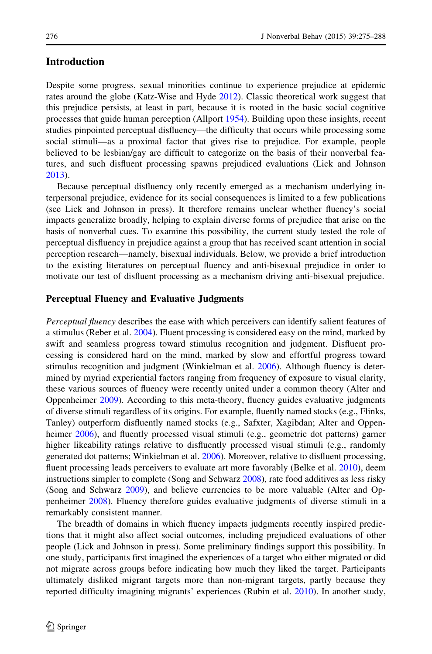# Introduction

Despite some progress, sexual minorities continue to experience prejudice at epidemic rates around the globe (Katz-Wise and Hyde [2012](#page-12-0)). Classic theoretical work suggest that this prejudice persists, at least in part, because it is rooted in the basic social cognitive processes that guide human perception (Allport [1954](#page-11-0)). Building upon these insights, recent studies pinpointed perceptual disfluency—the difficulty that occurs while processing some social stimuli—as a proximal factor that gives rise to prejudice. For example, people believed to be lesbian/gay are difficult to categorize on the basis of their nonverbal features, and such disfluent processing spawns prejudiced evaluations (Lick and Johnson [2013\)](#page-12-0).

Because perceptual disfluency only recently emerged as a mechanism underlying interpersonal prejudice, evidence for its social consequences is limited to a few publications (see Lick and Johnson in press). It therefore remains unclear whether fluency's social impacts generalize broadly, helping to explain diverse forms of prejudice that arise on the basis of nonverbal cues. To examine this possibility, the current study tested the role of perceptual disfluency in prejudice against a group that has received scant attention in social perception research—namely, bisexual individuals. Below, we provide a brief introduction to the existing literatures on perceptual fluency and anti-bisexual prejudice in order to motivate our test of disfluent processing as a mechanism driving anti-bisexual prejudice.

### Perceptual Fluency and Evaluative Judgments

Perceptual fluency describes the ease with which perceivers can identify salient features of a stimulus (Reber et al. [2004](#page-12-0)). Fluent processing is considered easy on the mind, marked by swift and seamless progress toward stimulus recognition and judgment. Disfluent processing is considered hard on the mind, marked by slow and effortful progress toward stimulus recognition and judgment (Winkielman et al. [2006](#page-13-0)). Although fluency is determined by myriad experiential factors ranging from frequency of exposure to visual clarity, these various sources of fluency were recently united under a common theory (Alter and Oppenheimer [2009\)](#page-11-0). According to this meta-theory, fluency guides evaluative judgments of diverse stimuli regardless of its origins. For example, fluently named stocks (e.g., Flinks, Tanley) outperform disfluently named stocks (e.g., Safxter, Xagibdan; Alter and Oppen-heimer [2006\)](#page-11-0), and fluently processed visual stimuli (e.g., geometric dot patterns) garner higher likeability ratings relative to disfluently processed visual stimuli (e.g., randomly generated dot patterns; Winkielman et al. [2006](#page-13-0)). Moreover, relative to disfluent processing, fluent processing leads perceivers to evaluate art more favorably (Belke et al. [2010\)](#page-12-0), deem instructions simpler to complete (Song and Schwarz [2008](#page-13-0)), rate food additives as less risky (Song and Schwarz [2009\)](#page-13-0), and believe currencies to be more valuable (Alter and Oppenheimer [2008](#page-11-0)). Fluency therefore guides evaluative judgments of diverse stimuli in a remarkably consistent manner.

The breadth of domains in which fluency impacts judgments recently inspired predictions that it might also affect social outcomes, including prejudiced evaluations of other people (Lick and Johnson in press). Some preliminary findings support this possibility. In one study, participants first imagined the experiences of a target who either migrated or did not migrate across groups before indicating how much they liked the target. Participants ultimately disliked migrant targets more than non-migrant targets, partly because they reported difficulty imagining migrants' experiences (Rubin et al. [2010\)](#page-12-0). In another study,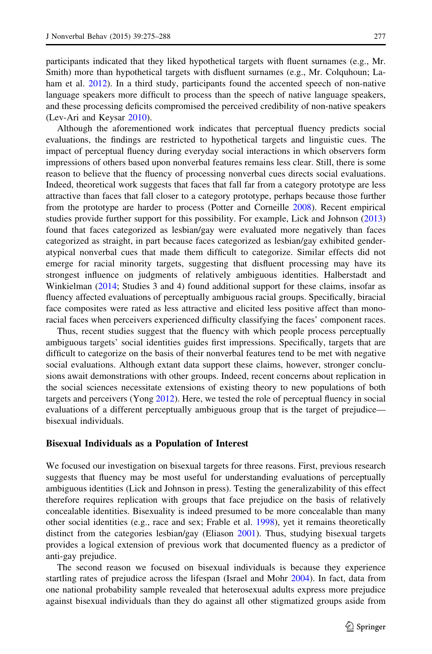participants indicated that they liked hypothetical targets with fluent surnames (e.g., Mr. Smith) more than hypothetical targets with disfluent surnames (e.g., Mr. Colquhoun; La-ham et al. [2012\)](#page-12-0). In a third study, participants found the accented speech of non-native language speakers more difficult to process than the speech of native language speakers, and these processing deficits compromised the perceived credibility of non-native speakers (Lev-Ari and Keysar [2010](#page-12-0)).

Although the aforementioned work indicates that perceptual fluency predicts social evaluations, the findings are restricted to hypothetical targets and linguistic cues. The impact of perceptual fluency during everyday social interactions in which observers form impressions of others based upon nonverbal features remains less clear. Still, there is some reason to believe that the fluency of processing nonverbal cues directs social evaluations. Indeed, theoretical work suggests that faces that fall far from a category prototype are less attractive than faces that fall closer to a category prototype, perhaps because those further from the prototype are harder to process (Potter and Corneille [2008](#page-12-0)). Recent empirical studies provide further support for this possibility. For example, Lick and Johnson ([2013](#page-12-0)) found that faces categorized as lesbian/gay were evaluated more negatively than faces categorized as straight, in part because faces categorized as lesbian/gay exhibited genderatypical nonverbal cues that made them difficult to categorize. Similar effects did not emerge for racial minority targets, suggesting that disfluent processing may have its strongest influence on judgments of relatively ambiguous identities. Halberstadt and Winkielman ([2014;](#page-12-0) Studies 3 and 4) found additional support for these claims, insofar as fluency affected evaluations of perceptually ambiguous racial groups. Specifically, biracial face composites were rated as less attractive and elicited less positive affect than monoracial faces when perceivers experienced difficulty classifying the faces' component races.

Thus, recent studies suggest that the fluency with which people process perceptually ambiguous targets' social identities guides first impressions. Specifically, targets that are difficult to categorize on the basis of their nonverbal features tend to be met with negative social evaluations. Although extant data support these claims, however, stronger conclusions await demonstrations with other groups. Indeed, recent concerns about replication in the social sciences necessitate extensions of existing theory to new populations of both targets and perceivers (Yong [2012\)](#page-13-0). Here, we tested the role of perceptual fluency in social evaluations of a different perceptually ambiguous group that is the target of prejudice bisexual individuals.

#### Bisexual Individuals as a Population of Interest

We focused our investigation on bisexual targets for three reasons. First, previous research suggests that fluency may be most useful for understanding evaluations of perceptually ambiguous identities (Lick and Johnson in press). Testing the generalizability of this effect therefore requires replication with groups that face prejudice on the basis of relatively concealable identities. Bisexuality is indeed presumed to be more concealable than many other social identities (e.g., race and sex; Frable et al. [1998](#page-12-0)), yet it remains theoretically distinct from the categories lesbian/gay (Eliason [2001\)](#page-12-0). Thus, studying bisexual targets provides a logical extension of previous work that documented fluency as a predictor of anti-gay prejudice.

The second reason we focused on bisexual individuals is because they experience startling rates of prejudice across the lifespan (Israel and Mohr [2004](#page-12-0)). In fact, data from one national probability sample revealed that heterosexual adults express more prejudice against bisexual individuals than they do against all other stigmatized groups aside from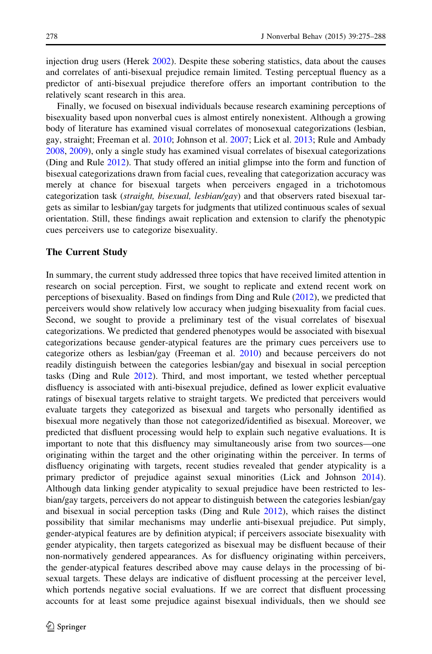injection drug users (Herek [2002\)](#page-12-0). Despite these sobering statistics, data about the causes and correlates of anti-bisexual prejudice remain limited. Testing perceptual fluency as a predictor of anti-bisexual prejudice therefore offers an important contribution to the relatively scant research in this area.

Finally, we focused on bisexual individuals because research examining perceptions of bisexuality based upon nonverbal cues is almost entirely nonexistent. Although a growing body of literature has examined visual correlates of monosexual categorizations (lesbian, gay, straight; Freeman et al. [2010;](#page-12-0) Johnson et al. [2007](#page-12-0); Lick et al. [2013](#page-12-0); Rule and Ambady [2008,](#page-12-0) [2009](#page-12-0)), only a single study has examined visual correlates of bisexual categorizations (Ding and Rule [2012](#page-12-0)). That study offered an initial glimpse into the form and function of bisexual categorizations drawn from facial cues, revealing that categorization accuracy was merely at chance for bisexual targets when perceivers engaged in a trichotomous categorization task (straight, bisexual, lesbian/gay) and that observers rated bisexual targets as similar to lesbian/gay targets for judgments that utilized continuous scales of sexual orientation. Still, these findings await replication and extension to clarify the phenotypic cues perceivers use to categorize bisexuality.

#### The Current Study

In summary, the current study addressed three topics that have received limited attention in research on social perception. First, we sought to replicate and extend recent work on perceptions of bisexuality. Based on findings from Ding and Rule ([2012\)](#page-12-0), we predicted that perceivers would show relatively low accuracy when judging bisexuality from facial cues. Second, we sought to provide a preliminary test of the visual correlates of bisexual categorizations. We predicted that gendered phenotypes would be associated with bisexual categorizations because gender-atypical features are the primary cues perceivers use to categorize others as lesbian/gay (Freeman et al. [2010\)](#page-12-0) and because perceivers do not readily distinguish between the categories lesbian/gay and bisexual in social perception tasks (Ding and Rule [2012](#page-12-0)). Third, and most important, we tested whether perceptual disfluency is associated with anti-bisexual prejudice, defined as lower explicit evaluative ratings of bisexual targets relative to straight targets. We predicted that perceivers would evaluate targets they categorized as bisexual and targets who personally identified as bisexual more negatively than those not categorized/identified as bisexual. Moreover, we predicted that disfluent processing would help to explain such negative evaluations. It is important to note that this disfluency may simultaneously arise from two sources—one originating within the target and the other originating within the perceiver. In terms of disfluency originating with targets, recent studies revealed that gender atypicality is a primary predictor of prejudice against sexual minorities (Lick and Johnson [2014](#page-12-0)). Although data linking gender atypicality to sexual prejudice have been restricted to lesbian/gay targets, perceivers do not appear to distinguish between the categories lesbian/gay and bisexual in social perception tasks (Ding and Rule [2012\)](#page-12-0), which raises the distinct possibility that similar mechanisms may underlie anti-bisexual prejudice. Put simply, gender-atypical features are by definition atypical; if perceivers associate bisexuality with gender atypicality, then targets categorized as bisexual may be disfluent because of their non-normatively gendered appearances. As for disfluency originating within perceivers, the gender-atypical features described above may cause delays in the processing of bisexual targets. These delays are indicative of disfluent processing at the perceiver level, which portends negative social evaluations. If we are correct that disfluent processing accounts for at least some prejudice against bisexual individuals, then we should see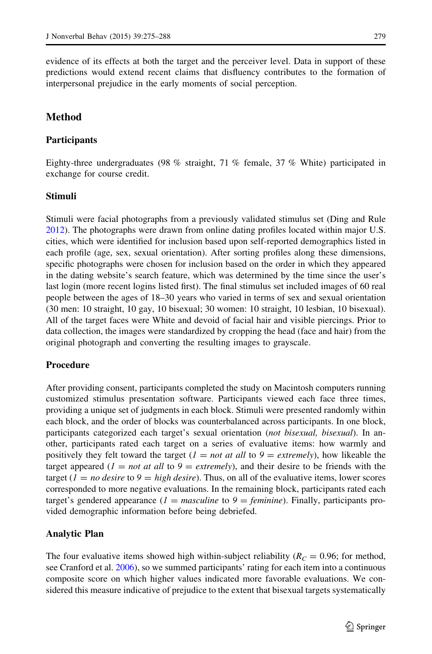evidence of its effects at both the target and the perceiver level. Data in support of these predictions would extend recent claims that disfluency contributes to the formation of interpersonal prejudice in the early moments of social perception.

# **Method**

# Participants

Eighty-three undergraduates (98 % straight, 71 % female, 37 % White) participated in exchange for course credit.

### Stimuli

Stimuli were facial photographs from a previously validated stimulus set (Ding and Rule [2012\)](#page-12-0). The photographs were drawn from online dating profiles located within major U.S. cities, which were identified for inclusion based upon self-reported demographics listed in each profile (age, sex, sexual orientation). After sorting profiles along these dimensions, specific photographs were chosen for inclusion based on the order in which they appeared in the dating website's search feature, which was determined by the time since the user's last login (more recent logins listed first). The final stimulus set included images of 60 real people between the ages of 18–30 years who varied in terms of sex and sexual orientation (30 men: 10 straight, 10 gay, 10 bisexual; 30 women: 10 straight, 10 lesbian, 10 bisexual). All of the target faces were White and devoid of facial hair and visible piercings. Prior to data collection, the images were standardized by cropping the head (face and hair) from the original photograph and converting the resulting images to grayscale.

# Procedure

After providing consent, participants completed the study on Macintosh computers running customized stimulus presentation software. Participants viewed each face three times, providing a unique set of judgments in each block. Stimuli were presented randomly within each block, and the order of blocks was counterbalanced across participants. In one block, participants categorized each target's sexual orientation (not bisexual, bisexual). In another, participants rated each target on a series of evaluative items: how warmly and positively they felt toward the target ( $1 = not$  at all to  $9 = extremely$ ), how likeable the target appeared ( $1 = not$  at all to  $9 = extremely$ ), and their desire to be friends with the target ( $1 = no$  desire to  $9 = high$  desire). Thus, on all of the evaluative items, lower scores corresponded to more negative evaluations. In the remaining block, participants rated each target's gendered appearance ( $1 =$  masculine to  $9 =$  feminine). Finally, participants provided demographic information before being debriefed.

# Analytic Plan

The four evaluative items showed high within-subject reliability ( $R<sub>C</sub> = 0.96$ ; for method, see Cranford et al. [2006\)](#page-12-0), so we summed participants' rating for each item into a continuous composite score on which higher values indicated more favorable evaluations. We considered this measure indicative of prejudice to the extent that bisexual targets systematically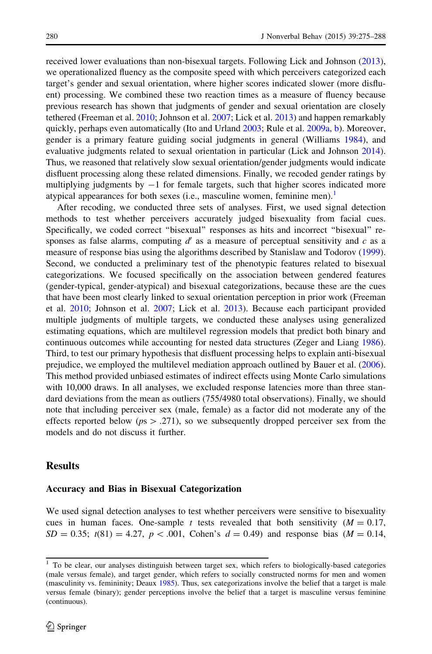received lower evaluations than non-bisexual targets. Following Lick and Johnson [\(2013](#page-12-0)), we operationalized fluency as the composite speed with which perceivers categorized each target's gender and sexual orientation, where higher scores indicated slower (more disfluent) processing. We combined these two reaction times as a measure of fluency because previous research has shown that judgments of gender and sexual orientation are closely tethered (Freeman et al. [2010](#page-12-0); Johnson et al. [2007;](#page-12-0) Lick et al. [2013\)](#page-12-0) and happen remarkably quickly, perhaps even automatically (Ito and Urland [2003](#page-12-0); Rule et al. [2009a,](#page-12-0) [b\)](#page-13-0). Moreover, gender is a primary feature guiding social judgments in general (Williams [1984](#page-13-0)), and evaluative judgments related to sexual orientation in particular (Lick and Johnson [2014](#page-12-0)). Thus, we reasoned that relatively slow sexual orientation/gender judgments would indicate disfluent processing along these related dimensions. Finally, we recoded gender ratings by multiplying judgments by  $-1$  for female targets, such that higher scores indicated more atypical appearances for both sexes (i.e., masculine women, feminine men).<sup>1</sup>

After recoding, we conducted three sets of analyses. First, we used signal detection methods to test whether perceivers accurately judged bisexuality from facial cues. Specifically, we coded correct ''bisexual'' responses as hits and incorrect ''bisexual'' responses as false alarms, computing  $d'$  as a measure of perceptual sensitivity and c as a measure of response bias using the algorithms described by Stanislaw and Todorov [\(1999](#page-13-0)). Second, we conducted a preliminary test of the phenotypic features related to bisexual categorizations. We focused specifically on the association between gendered features (gender-typical, gender-atypical) and bisexual categorizations, because these are the cues that have been most clearly linked to sexual orientation perception in prior work (Freeman et al. [2010](#page-12-0); Johnson et al. [2007](#page-12-0); Lick et al. [2013](#page-12-0)). Because each participant provided multiple judgments of multiple targets, we conducted these analyses using generalized estimating equations, which are multilevel regression models that predict both binary and continuous outcomes while accounting for nested data structures (Zeger and Liang [1986](#page-13-0)). Third, to test our primary hypothesis that disfluent processing helps to explain anti-bisexual prejudice, we employed the multilevel mediation approach outlined by Bauer et al. [\(2006](#page-12-0)). This method provided unbiased estimates of indirect effects using Monte Carlo simulations with 10,000 draws. In all analyses, we excluded response latencies more than three standard deviations from the mean as outliers (755/4980 total observations). Finally, we should note that including perceiver sex (male, female) as a factor did not moderate any of the effects reported below ( $ps > .271$ ), so we subsequently dropped perceiver sex from the models and do not discuss it further.

### **Results**

#### Accuracy and Bias in Bisexual Categorization

We used signal detection analyses to test whether perceivers were sensitive to bisexuality cues in human faces. One-sample t tests revealed that both sensitivity  $(M = 0.17)$ ,  $SD = 0.35$ ;  $t(81) = 4.27$ ,  $p < .001$ , Cohen's  $d = 0.49$ ) and response bias ( $M = 0.14$ ,

<sup>&</sup>lt;sup>1</sup> To be clear, our analyses distinguish between target sex, which refers to biologically-based categories (male versus female), and target gender, which refers to socially constructed norms for men and women (masculinity vs. femininity; Deaux [1985\)](#page-12-0). Thus, sex categorizations involve the belief that a target is male versus female (binary); gender perceptions involve the belief that a target is masculine versus feminine (continuous).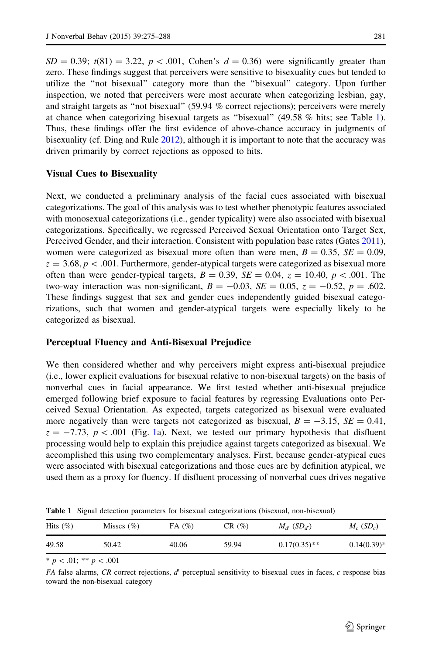$SD = 0.39$ ;  $t(81) = 3.22$ ,  $p < .001$ , Cohen's  $d = 0.36$ ) were significantly greater than zero. These findings suggest that perceivers were sensitive to bisexuality cues but tended to utilize the ''not bisexual'' category more than the ''bisexual'' category. Upon further inspection, we noted that perceivers were most accurate when categorizing lesbian, gay, and straight targets as ''not bisexual'' (59.94 % correct rejections); perceivers were merely at chance when categorizing bisexual targets as ''bisexual'' (49.58 % hits; see Table 1). Thus, these findings offer the first evidence of above-chance accuracy in judgments of bisexuality (cf. Ding and Rule [2012\)](#page-12-0), although it is important to note that the accuracy was driven primarily by correct rejections as opposed to hits.

### Visual Cues to Bisexuality

Next, we conducted a preliminary analysis of the facial cues associated with bisexual categorizations. The goal of this analysis was to test whether phenotypic features associated with monosexual categorizations (i.e., gender typicality) were also associated with bisexual categorizations. Specifically, we regressed Perceived Sexual Orientation onto Target Sex, Perceived Gender, and their interaction. Consistent with population base rates (Gates [2011](#page-12-0)), women were categorized as bisexual more often than were men,  $B = 0.35$ ,  $SE = 0.09$ ,  $z = 3.68$ ,  $p < .001$ . Furthermore, gender-atypical targets were categorized as bisexual more often than were gender-typical targets,  $B = 0.39$ ,  $SE = 0.04$ ,  $z = 10.40$ ,  $p \lt 0.01$ . The two-way interaction was non-significant,  $B = -0.03$ ,  $SE = 0.05$ ,  $z = -0.52$ ,  $p = .602$ . These findings suggest that sex and gender cues independently guided bisexual categorizations, such that women and gender-atypical targets were especially likely to be categorized as bisexual.

### Perceptual Fluency and Anti-Bisexual Prejudice

We then considered whether and why perceivers might express anti-bisexual prejudice (i.e., lower explicit evaluations for bisexual relative to non-bisexual targets) on the basis of nonverbal cues in facial appearance. We first tested whether anti-bisexual prejudice emerged following brief exposure to facial features by regressing Evaluations onto Perceived Sexual Orientation. As expected, targets categorized as bisexual were evaluated more negatively than were targets not categorized as bisexual,  $B = -3.15$ ,  $SE = 0.41$ ,  $z = -7.73$ ,  $p < .001$  (Fig. [1a](#page-7-0)). Next, we tested our primary hypothesis that disfluent processing would help to explain this prejudice against targets categorized as bisexual. We accomplished this using two complementary analyses. First, because gender-atypical cues were associated with bisexual categorizations and those cues are by definition atypical, we used them as a proxy for fluency. If disfluent processing of nonverbal cues drives negative

| Hits $(\%)$ | Misses $(\% )$ | $FA(\%)$ | $CR(\%)$ | $M_{d'}$ (SD <sub>d'</sub> ) | $M_c(SD_c)$    |
|-------------|----------------|----------|----------|------------------------------|----------------|
| 49.58       | 50.42          | 40.06    | 59.94    | $0.17(0.35)$ **              | $0.14(0.39)$ * |

Table 1 Signal detection parameters for bisexual categorizations (bisexual, non-bisexual)

 $* p < .01; ** p < .001$ 

FA false alarms, CR correct rejections,  $d'$  perceptual sensitivity to bisexual cues in faces, c response bias toward the non-bisexual category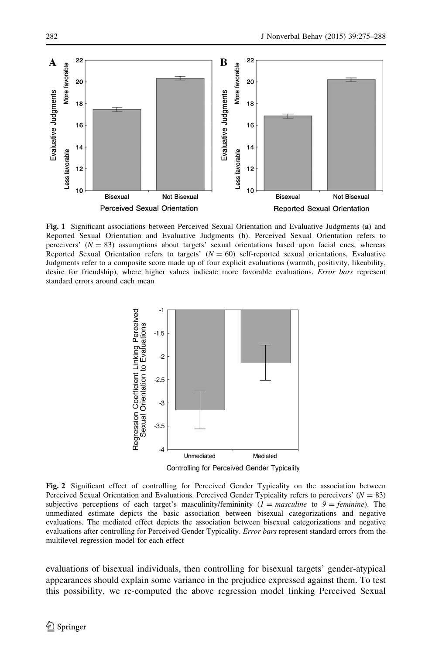<span id="page-7-0"></span>

Fig. 1 Significant associations between Perceived Sexual Orientation and Evaluative Judgments (a) and Reported Sexual Orientation and Evaluative Judgments (b). Perceived Sexual Orientation refers to perceivers'  $(N = 83)$  assumptions about targets' sexual orientations based upon facial cues, whereas Reported Sexual Orientation refers to targets'  $(N = 60)$  self-reported sexual orientations. Evaluative Judgments refer to a composite score made up of four explicit evaluations (warmth, positivity, likeability, desire for friendship), where higher values indicate more favorable evaluations. *Error bars* represent standard errors around each mean



Controlling for Perceived Gender Typicality

Fig. 2 Significant effect of controlling for Perceived Gender Typicality on the association between Perceived Sexual Orientation and Evaluations. Perceived Gender Typicality refers to perceivers' ( $N = 83$ ) subjective perceptions of each target's masculinity/femininity  $(1 = masculine$  to  $9 = feminine)$ . The unmediated estimate depicts the basic association between bisexual categorizations and negative evaluations. The mediated effect depicts the association between bisexual categorizations and negative evaluations after controlling for Perceived Gender Typicality. Error bars represent standard errors from the multilevel regression model for each effect

evaluations of bisexual individuals, then controlling for bisexual targets' gender-atypical appearances should explain some variance in the prejudice expressed against them. To test this possibility, we re-computed the above regression model linking Perceived Sexual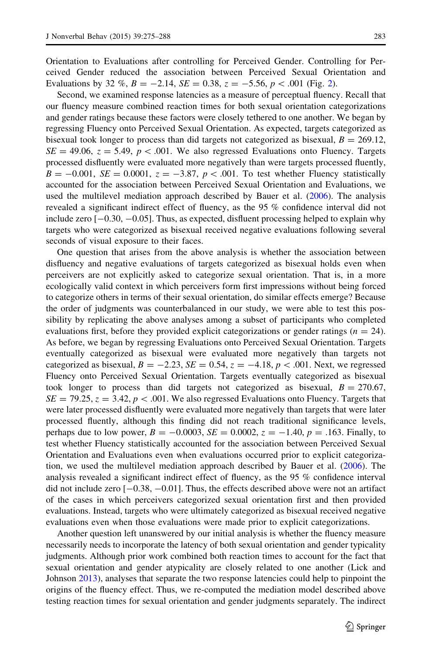Orientation to Evaluations after controlling for Perceived Gender. Controlling for Perceived Gender reduced the association between Perceived Sexual Orientation and Evaluations by 3[2](#page-7-0) %,  $B = -2.14$ ,  $SE = 0.38$ ,  $z = -5.56$ ,  $p < .001$  (Fig. 2).

Second, we examined response latencies as a measure of perceptual fluency. Recall that our fluency measure combined reaction times for both sexual orientation categorizations and gender ratings because these factors were closely tethered to one another. We began by regressing Fluency onto Perceived Sexual Orientation. As expected, targets categorized as bisexual took longer to process than did targets not categorized as bisexual,  $B = 269.12$ ,  $SE = 49.06$ ,  $z = 5.49$ ,  $p < .001$ . We also regressed Evaluations onto Fluency. Targets processed disfluently were evaluated more negatively than were targets processed fluently,  $B = -0.001$ ,  $SE = 0.0001$ ,  $z = -3.87$ ,  $p < .001$ . To test whether Fluency statistically accounted for the association between Perceived Sexual Orientation and Evaluations, we used the multilevel mediation approach described by Bauer et al. ([2006\)](#page-12-0). The analysis revealed a significant indirect effect of fluency, as the 95 % confidence interval did not include zero  $[-0.30, -0.05]$ . Thus, as expected, disfluent processing helped to explain why targets who were categorized as bisexual received negative evaluations following several seconds of visual exposure to their faces.

One question that arises from the above analysis is whether the association between disfluency and negative evaluations of targets categorized as bisexual holds even when perceivers are not explicitly asked to categorize sexual orientation. That is, in a more ecologically valid context in which perceivers form first impressions without being forced to categorize others in terms of their sexual orientation, do similar effects emerge? Because the order of judgments was counterbalanced in our study, we were able to test this possibility by replicating the above analyses among a subset of participants who completed evaluations first, before they provided explicit categorizations or gender ratings ( $n = 24$ ). As before, we began by regressing Evaluations onto Perceived Sexual Orientation. Targets eventually categorized as bisexual were evaluated more negatively than targets not categorized as bisexual,  $B = -2.23$ ,  $SE = 0.54$ ,  $z = -4.18$ ,  $p < .001$ . Next, we regressed Fluency onto Perceived Sexual Orientation. Targets eventually categorized as bisexual took longer to process than did targets not categorized as bisexual,  $B = 270.67$ ,  $SE = 79.25$ ,  $z = 3.42$ ,  $p < .001$ . We also regressed Evaluations onto Fluency. Targets that were later processed disfluently were evaluated more negatively than targets that were later processed fluently, although this finding did not reach traditional significance levels, perhaps due to low power,  $B = -0.0003$ ,  $SE = 0.0002$ ,  $z = -1.40$ ,  $p = 0.163$ . Finally, to test whether Fluency statistically accounted for the association between Perceived Sexual Orientation and Evaluations even when evaluations occurred prior to explicit categorization, we used the multilevel mediation approach described by Bauer et al. ([2006](#page-12-0)). The analysis revealed a significant indirect effect of fluency, as the 95 % confidence interval did not include zero  $[-0.38, -0.01]$ . Thus, the effects described above were not an artifact of the cases in which perceivers categorized sexual orientation first and then provided evaluations. Instead, targets who were ultimately categorized as bisexual received negative evaluations even when those evaluations were made prior to explicit categorizations.

Another question left unanswered by our initial analysis is whether the fluency measure necessarily needs to incorporate the latency of both sexual orientation and gender typicality judgments. Although prior work combined both reaction times to account for the fact that sexual orientation and gender atypicality are closely related to one another (Lick and Johnson [2013](#page-12-0)), analyses that separate the two response latencies could help to pinpoint the origins of the fluency effect. Thus, we re-computed the mediation model described above testing reaction times for sexual orientation and gender judgments separately. The indirect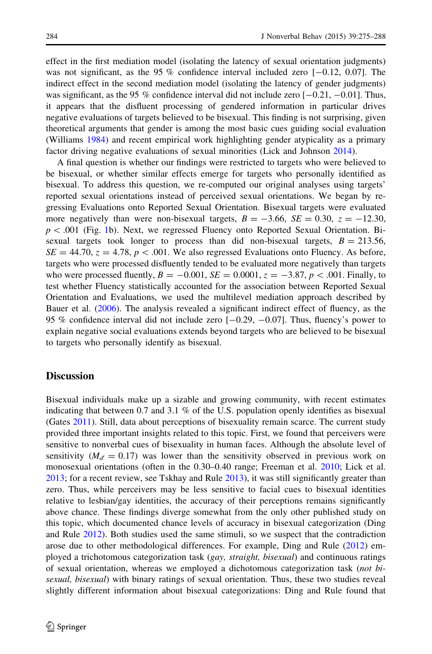effect in the first mediation model (isolating the latency of sexual orientation judgments) was not significant, as the 95 % confidence interval included zero  $[-0.12, 0.07]$ . The indirect effect in the second mediation model (isolating the latency of gender judgments) was significant, as the 95 % confidence interval did not include zero  $[-0.21, -0.01]$ . Thus, it appears that the disfluent processing of gendered information in particular drives negative evaluations of targets believed to be bisexual. This finding is not surprising, given theoretical arguments that gender is among the most basic cues guiding social evaluation (Williams [1984](#page-13-0)) and recent empirical work highlighting gender atypicality as a primary factor driving negative evaluations of sexual minorities (Lick and Johnson [2014](#page-12-0)).

A final question is whether our findings were restricted to targets who were believed to be bisexual, or whether similar effects emerge for targets who personally identified as bisexual. To address this question, we re-computed our original analyses using targets' reported sexual orientations instead of perceived sexual orientations. We began by regressing Evaluations onto Reported Sexual Orientation. Bisexual targets were evaluated more negatively than were non-bisexual targets,  $B = -3.66$ ,  $SE = 0.30$ ,  $z = -12.30$ ,  $p<.001$  (Fig. [1b](#page-7-0)). Next, we regressed Fluency onto Reported Sexual Orientation. Bisexual targets took longer to process than did non-bisexual targets,  $B = 213.56$ ,  $SE = 44.70$ ,  $z = 4.78$ ,  $p < .001$ . We also regressed Evaluations onto Fluency. As before, targets who were processed disfluently tended to be evaluated more negatively than targets who were processed fluently,  $B = -0.001$ ,  $SE = 0.0001$ ,  $z = -3.87$ ,  $p < .001$ . Finally, to test whether Fluency statistically accounted for the association between Reported Sexual Orientation and Evaluations, we used the multilevel mediation approach described by Bauer et al. [\(2006](#page-12-0)). The analysis revealed a significant indirect effect of fluency, as the 95 % confidence interval did not include zero  $[-0.29, -0.07]$ . Thus, fluency's power to explain negative social evaluations extends beyond targets who are believed to be bisexual to targets who personally identify as bisexual.

# **Discussion**

Bisexual individuals make up a sizable and growing community, with recent estimates indicating that between 0.7 and 3.1 % of the U.S. population openly identifies as bisexual (Gates [2011](#page-12-0)). Still, data about perceptions of bisexuality remain scarce. The current study provided three important insights related to this topic. First, we found that perceivers were sensitive to nonverbal cues of bisexuality in human faces. Although the absolute level of sensitivity ( $M_{d'} = 0.17$ ) was lower than the sensitivity observed in previous work on monosexual orientations (often in the 0.30–0.40 range; Freeman et al. [2010](#page-12-0); Lick et al. [2013;](#page-12-0) for a recent review, see Tskhay and Rule [2013](#page-13-0)), it was still significantly greater than zero. Thus, while perceivers may be less sensitive to facial cues to bisexual identities relative to lesbian/gay identities, the accuracy of their perceptions remains significantly above chance. These findings diverge somewhat from the only other published study on this topic, which documented chance levels of accuracy in bisexual categorization (Ding and Rule [2012\)](#page-12-0). Both studies used the same stimuli, so we suspect that the contradiction arose due to other methodological differences. For example, Ding and Rule [\(2012](#page-12-0)) employed a trichotomous categorization task (gay, straight, bisexual) and continuous ratings of sexual orientation, whereas we employed a dichotomous categorization task (not bisexual, bisexual) with binary ratings of sexual orientation. Thus, these two studies reveal slightly different information about bisexual categorizations: Ding and Rule found that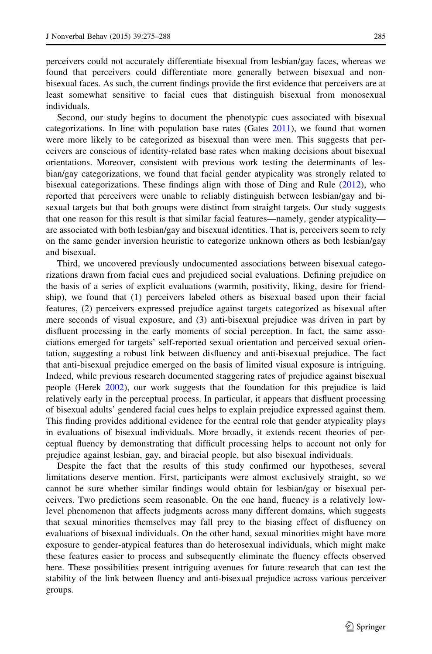perceivers could not accurately differentiate bisexual from lesbian/gay faces, whereas we found that perceivers could differentiate more generally between bisexual and nonbisexual faces. As such, the current findings provide the first evidence that perceivers are at least somewhat sensitive to facial cues that distinguish bisexual from monosexual individuals.

Second, our study begins to document the phenotypic cues associated with bisexual categorizations. In line with population base rates (Gates [2011](#page-12-0)), we found that women were more likely to be categorized as bisexual than were men. This suggests that perceivers are conscious of identity-related base rates when making decisions about bisexual orientations. Moreover, consistent with previous work testing the determinants of lesbian/gay categorizations, we found that facial gender atypicality was strongly related to bisexual categorizations. These findings align with those of Ding and Rule [\(2012](#page-12-0)), who reported that perceivers were unable to reliably distinguish between lesbian/gay and bisexual targets but that both groups were distinct from straight targets. Our study suggests that one reason for this result is that similar facial features—namely, gender atypicality are associated with both lesbian/gay and bisexual identities. That is, perceivers seem to rely on the same gender inversion heuristic to categorize unknown others as both lesbian/gay and bisexual.

Third, we uncovered previously undocumented associations between bisexual categorizations drawn from facial cues and prejudiced social evaluations. Defining prejudice on the basis of a series of explicit evaluations (warmth, positivity, liking, desire for friendship), we found that (1) perceivers labeled others as bisexual based upon their facial features, (2) perceivers expressed prejudice against targets categorized as bisexual after mere seconds of visual exposure, and (3) anti-bisexual prejudice was driven in part by disfluent processing in the early moments of social perception. In fact, the same associations emerged for targets' self-reported sexual orientation and perceived sexual orientation, suggesting a robust link between disfluency and anti-bisexual prejudice. The fact that anti-bisexual prejudice emerged on the basis of limited visual exposure is intriguing. Indeed, while previous research documented staggering rates of prejudice against bisexual people (Herek [2002](#page-12-0)), our work suggests that the foundation for this prejudice is laid relatively early in the perceptual process. In particular, it appears that disfluent processing of bisexual adults' gendered facial cues helps to explain prejudice expressed against them. This finding provides additional evidence for the central role that gender atypicality plays in evaluations of bisexual individuals. More broadly, it extends recent theories of perceptual fluency by demonstrating that difficult processing helps to account not only for prejudice against lesbian, gay, and biracial people, but also bisexual individuals.

Despite the fact that the results of this study confirmed our hypotheses, several limitations deserve mention. First, participants were almost exclusively straight, so we cannot be sure whether similar findings would obtain for lesbian/gay or bisexual perceivers. Two predictions seem reasonable. On the one hand, fluency is a relatively lowlevel phenomenon that affects judgments across many different domains, which suggests that sexual minorities themselves may fall prey to the biasing effect of disfluency on evaluations of bisexual individuals. On the other hand, sexual minorities might have more exposure to gender-atypical features than do heterosexual individuals, which might make these features easier to process and subsequently eliminate the fluency effects observed here. These possibilities present intriguing avenues for future research that can test the stability of the link between fluency and anti-bisexual prejudice across various perceiver groups.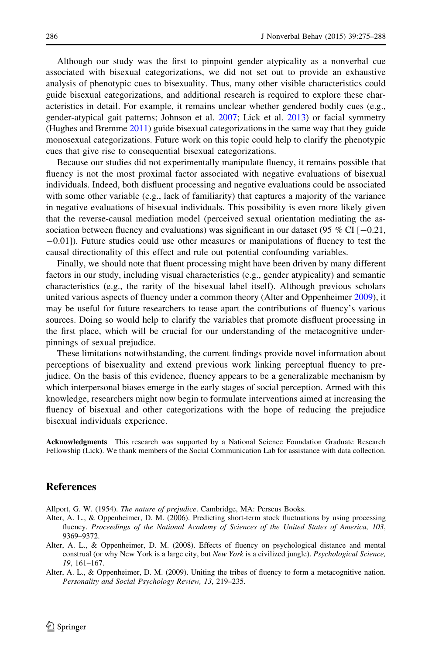<span id="page-11-0"></span>Although our study was the first to pinpoint gender atypicality as a nonverbal cue associated with bisexual categorizations, we did not set out to provide an exhaustive analysis of phenotypic cues to bisexuality. Thus, many other visible characteristics could guide bisexual categorizations, and additional research is required to explore these characteristics in detail. For example, it remains unclear whether gendered bodily cues (e.g., gender-atypical gait patterns; Johnson et al. [2007](#page-12-0); Lick et al. [2013](#page-12-0)) or facial symmetry (Hughes and Bremme [2011\)](#page-12-0) guide bisexual categorizations in the same way that they guide monosexual categorizations. Future work on this topic could help to clarify the phenotypic cues that give rise to consequential bisexual categorizations.

Because our studies did not experimentally manipulate fluency, it remains possible that fluency is not the most proximal factor associated with negative evaluations of bisexual individuals. Indeed, both disfluent processing and negative evaluations could be associated with some other variable (e.g., lack of familiarity) that captures a majority of the variance in negative evaluations of bisexual individuals. This possibility is even more likely given that the reverse-causal mediation model (perceived sexual orientation mediating the association between fluency and evaluations) was significant in our dataset (95  $\%$  CI [-0.21,  $-0.01$ ]). Future studies could use other measures or manipulations of fluency to test the causal directionality of this effect and rule out potential confounding variables.

Finally, we should note that fluent processing might have been driven by many different factors in our study, including visual characteristics (e.g., gender atypicality) and semantic characteristics (e.g., the rarity of the bisexual label itself). Although previous scholars united various aspects of fluency under a common theory (Alter and Oppenheimer 2009), it may be useful for future researchers to tease apart the contributions of fluency's various sources. Doing so would help to clarify the variables that promote disfluent processing in the first place, which will be crucial for our understanding of the metacognitive underpinnings of sexual prejudice.

These limitations notwithstanding, the current findings provide novel information about perceptions of bisexuality and extend previous work linking perceptual fluency to prejudice. On the basis of this evidence, fluency appears to be a generalizable mechanism by which interpersonal biases emerge in the early stages of social perception. Armed with this knowledge, researchers might now begin to formulate interventions aimed at increasing the fluency of bisexual and other categorizations with the hope of reducing the prejudice bisexual individuals experience.

Acknowledgments This research was supported by a National Science Foundation Graduate Research Fellowship (Lick). We thank members of the Social Communication Lab for assistance with data collection.

### **References**

Allport, G. W. (1954). The nature of prejudice. Cambridge, MA: Perseus Books.

- Alter, A. L., & Oppenheimer, D. M. (2006). Predicting short-term stock fluctuations by using processing fluency. Proceedings of the National Academy of Sciences of the United States of America, 103, 9369–9372.
- Alter, A. L., & Oppenheimer, D. M. (2008). Effects of fluency on psychological distance and mental construal (or why New York is a large city, but New York is a civilized jungle). Psychological Science, 19, 161–167.

Alter, A. L., & Oppenheimer, D. M. (2009). Uniting the tribes of fluency to form a metacognitive nation. Personality and Social Psychology Review, 13, 219–235.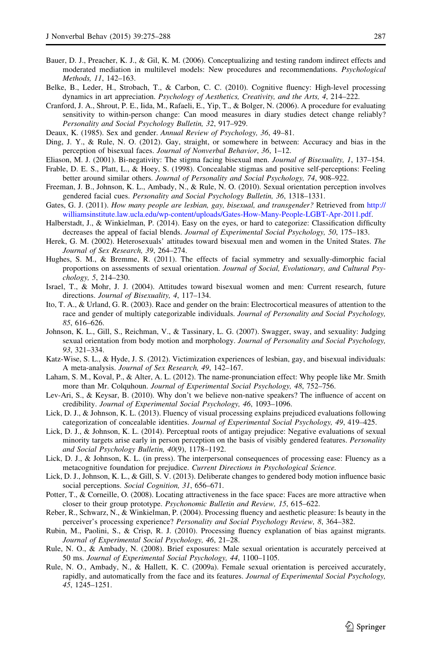- <span id="page-12-0"></span>Bauer, D. J., Preacher, K. J., & Gil, K. M. (2006). Conceptualizing and testing random indirect effects and moderated mediation in multilevel models: New procedures and recommendations. Psychological Methods, 11, 142–163.
- Belke, B., Leder, H., Strobach, T., & Carbon, C. C. (2010). Cognitive fluency: High-level processing dynamics in art appreciation. Psychology of Aesthetics, Creativity, and the Arts, 4, 214–222.
- Cranford, J. A., Shrout, P. E., Iida, M., Rafaeli, E., Yip, T., & Bolger, N. (2006). A procedure for evaluating sensitivity to within-person change: Can mood measures in diary studies detect change reliably? Personality and Social Psychology Bulletin, 32, 917–929.

Deaux, K. (1985). Sex and gender. Annual Review of Psychology, 36, 49–81.

- Ding, J. Y., & Rule, N. O. (2012). Gay, straight, or somewhere in between: Accuracy and bias in the perception of bisexual faces. Journal of Nonverbal Behavior, 36, 1–12.
- Eliason, M. J. (2001). Bi-negativity: The stigma facing bisexual men. Journal of Bisexuality, 1, 137–154.
- Frable, D. E. S., Platt, L., & Hoey, S. (1998). Concealable stigmas and positive self-perceptions: Feeling better around similar others. Journal of Personality and Social Psychology, 74, 908–922.
- Freeman, J. B., Johnson, K. L., Ambady, N., & Rule, N. O. (2010). Sexual orientation perception involves gendered facial cues. Personality and Social Psychology Bulletin, 36, 1318–1331.
- Gates, G. J. (2011). How many people are lesbian, gay, bisexual, and transgender? Retrieved from [http://](http://williamsinstitute.law.ucla.edu/wp-content/uploads/Gates-How-Many-People-LGBT-Apr-2011.pdf) [williamsinstitute.law.ucla.edu/wp-content/uploads/Gates-How-Many-People-LGBT-Apr-2011.pdf.](http://williamsinstitute.law.ucla.edu/wp-content/uploads/Gates-How-Many-People-LGBT-Apr-2011.pdf)
- Halberstadt, J., & Winkielman, P. (2014). Easy on the eyes, or hard to categorize: Classification difficulty decreases the appeal of facial blends. Journal of Experimental Social Psychology, 50, 175–183.
- Herek, G. M. (2002). Heterosexuals' attitudes toward bisexual men and women in the United States. The Journal of Sex Research, 39, 264–274.
- Hughes, S. M., & Bremme, R. (2011). The effects of facial symmetry and sexually-dimorphic facial proportions on assessments of sexual orientation. Journal of Social, Evolutionary, and Cultural Psychology, 5, 214–230.
- Israel, T., & Mohr, J. J. (2004). Attitudes toward bisexual women and men: Current research, future directions. Journal of Bisexuality, 4, 117–134.
- Ito, T. A., & Urland, G. R. (2003). Race and gender on the brain: Electrocortical measures of attention to the race and gender of multiply categorizable individuals. Journal of Personality and Social Psychology, 85, 616–626.
- Johnson, K. L., Gill, S., Reichman, V., & Tassinary, L. G. (2007). Swagger, sway, and sexuality: Judging sexual orientation from body motion and morphology. Journal of Personality and Social Psychology, 93, 321–334.
- Katz-Wise, S. L., & Hyde, J. S. (2012). Victimization experiences of lesbian, gay, and bisexual individuals: A meta-analysis. Journal of Sex Research, 49, 142–167.
- Laham, S. M., Koval, P., & Alter, A. L. (2012). The name-pronunciation effect: Why people like Mr. Smith more than Mr. Colquhoun. Journal of Experimental Social Psychology, 48, 752–756.
- Lev-Ari, S., & Keysar, B. (2010). Why don't we believe non-native speakers? The influence of accent on credibility. Journal of Experimental Social Psychology, 46, 1093–1096.
- Lick, D. J., & Johnson, K. L. (2013). Fluency of visual processing explains prejudiced evaluations following categorization of concealable identities. Journal of Experimental Social Psychology, 49, 419–425.
- Lick, D. J., & Johnson, K. L. (2014). Perceptual roots of antigay prejudice: Negative evaluations of sexual minority targets arise early in person perception on the basis of visibly gendered features. *Personality* and Social Psychology Bulletin, 40(9), 1178–1192.
- Lick, D. J., & Johnson, K. L. (in press). The interpersonal consequences of processing ease: Fluency as a metacognitive foundation for prejudice. Current Directions in Psychological Science.
- Lick, D. J., Johnson, K. L., & Gill, S. V. (2013). Deliberate changes to gendered body motion influence basic social perceptions. Social Cognition, 31, 656–671.
- Potter, T., & Corneille, O. (2008). Locating attractiveness in the face space: Faces are more attractive when closer to their group prototype. Psychonomic Bulletin and Review, 15, 615–622.
- Reber, R., Schwarz, N., & Winkielman, P. (2004). Processing fluency and aesthetic pleasure: Is beauty in the perceiver's processing experience? Personality and Social Psychology Review, 8, 364–382.
- Rubin, M., Paolini, S., & Crisp, R. J. (2010). Processing fluency explanation of bias against migrants. Journal of Experimental Social Psychology, 46, 21–28.
- Rule, N. O., & Ambady, N. (2008). Brief exposures: Male sexual orientation is accurately perceived at 50 ms. Journal of Experimental Social Psychology, 44, 1100–1105.
- Rule, N. O., Ambady, N., & Hallett, K. C. (2009a). Female sexual orientation is perceived accurately, rapidly, and automatically from the face and its features. Journal of Experimental Social Psychology, 45, 1245–1251.